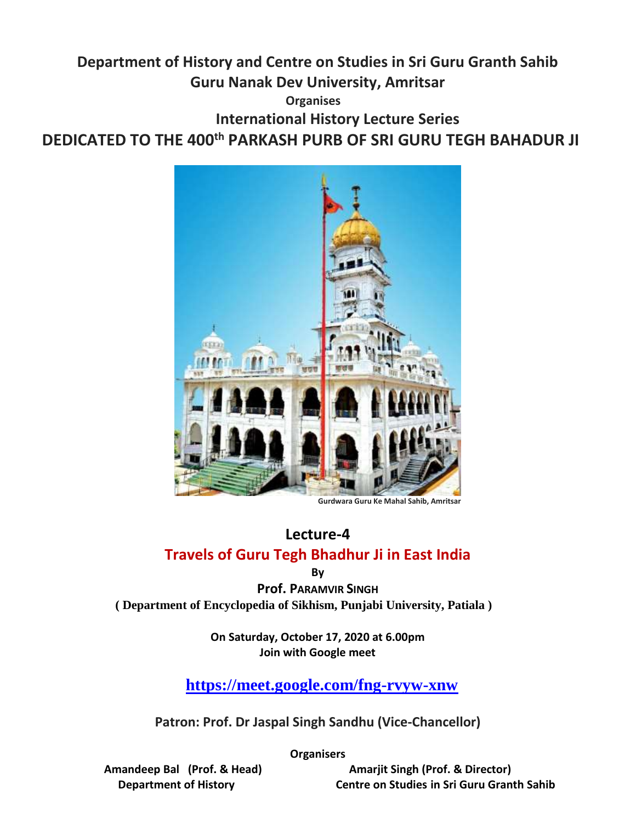## **Department of History and Centre on Studies in Sri Guru Granth Sahib Guru Nanak Dev University, Amritsar Organises International History Lecture Series DEDICATED TO THE 400th PARKASH PURB OF SRI GURU TEGH BAHADUR JI**



 **Gurdwara Guru Ke Mahal Sahib, Amritsar**

## **Lecture-4 Travels of Guru Tegh Bhadhur Ji in East India**

**By**

**Prof. PARAMVIR SINGH ( Department of Encyclopedia of Sikhism, Punjabi University, Patiala )**

> **On Saturday, October 17, 2020 at 6.00pm Join with Google meet**

**<https://meet.google.com/fng-rvyw-xnw>**

**Patron: Prof. Dr Jaspal Singh Sandhu (Vice-Chancellor)**

**Organisers**

 **Amandeep Bal (Prof. & Head) Amarjit Singh (Prof. & Director) Department of History Centre on Studies in Sri Guru Granth Sahib**